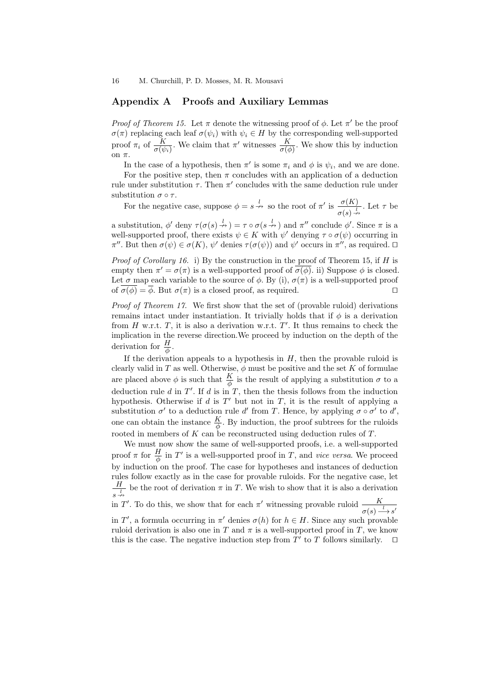16 M. Churchill, P. D. Mosses, M. R. Mousavi

## Appendix A Proofs and Auxiliary Lemmas

*Proof of Theorem 15.* Let  $\pi$  denote the witnessing proof of  $\phi$ . Let  $\pi'$  be the proof  $\sigma(\pi)$  replacing each leaf  $\sigma(\psi_i)$  with  $\psi_i \in H$  by the corresponding well-supported proof  $\pi_i$  of  $\frac{K}{\sigma(\psi_i)}$ . We claim that  $\pi'$  witnesses  $\frac{K}{\sigma(\phi)}$ . We show this by induction on π.

In the case of a hypothesis, then  $\pi'$  is some  $\pi_i$  and  $\phi$  is  $\psi_i$ , and we are done.

For the positive step, then  $\pi$  concludes with an application of a deduction rule under substitution  $\tau$ . Then  $\pi'$  concludes with the same deduction rule under substitution  $\sigma \circ \tau$ .

For the negative case, suppose  $\phi = s \stackrel{l}{\rightarrow} s$  so the root of  $\pi'$  is  $\frac{\sigma(K)}{\sigma(s) \stackrel{l}{\rightarrow} s}$ . Let  $\tau$  be

a substitution,  $\phi'$  deny  $\tau(\sigma(s) \stackrel{l}{\rightarrow} ) = \tau \circ \sigma(s \stackrel{l}{\rightarrow} )$  and  $\pi''$  conclude  $\phi'$ . Since  $\pi$  is a well-supported proof, there exists  $\psi \in K$  with  $\psi'$  denying  $\tau \circ \sigma(\psi)$  occurring in  $\pi''$ . But then  $\sigma(\psi) \in \sigma(K)$ ,  $\psi'$  denies  $\tau(\sigma(\psi))$  and  $\psi'$  occurs in  $\pi''$ , as required.  $\Box$ 

*Proof of Corollary 16.* i) By the construction in the proof of Theorem 15, if H is empty then  $\pi' = \sigma(\pi)$  is a well-supported proof of  $\sigma(\phi)$ . ii) Suppose  $\phi$  is closed. Let  $\sigma$  map each variable to the source of  $\phi$ . By (i),  $\sigma(\pi)$  is a well-supported proof of  $\sigma(\phi) = \phi$ . But  $\sigma(\pi)$  is a closed proof, as required.

Proof of Theorem 17. We first show that the set of (provable ruloid) derivations remains intact under instantiation. It trivially holds that if  $\phi$  is a derivation from H w.r.t. T, it is also a derivation w.r.t. T'. It thus remains to check the implication in the reverse direction.We proceed by induction on the depth of the derivation for  $\frac{H}{\phi}$ .

If the derivation appeals to a hypothesis in  $H$ , then the provable ruloid is clearly valid in T as well. Otherwise,  $\phi$  must be positive and the set K of formulae are placed above  $\phi$  is such that  $\frac{K}{\phi}$  is the result of applying a substitution  $\sigma$  to a deduction rule  $d$  in  $T'$ . If  $d$  is in  $T$ , then the thesis follows from the induction hypothesis. Otherwise if d is  $T'$  but not in T, it is the result of applying a substitution  $\sigma'$  to a deduction rule d' from T. Hence, by applying  $\sigma \circ \sigma'$  to d', one can obtain the instance  $\frac{K}{\phi}$ . By induction, the proof subtrees for the ruloids rooted in members of  $K$  can be reconstructed using deduction rules of  $T$ .

We must now show the same of well-supported proofs, i.e. a well-supported proof  $\pi$  for  $\frac{H}{\phi}$  in  $T'$  is a well-supported proof in T, and vice versa. We proceed by induction on the proof. The case for hypotheses and instances of deduction rules follow exactly as in the case for provable ruloids. For the negative case, let  $\frac{H}{\frac{l}{\sqrt{N}}}$  be the root of derivation  $\pi$  in T. We wish to show that it is also a derivation  $s \stackrel{l}{\nrightarrow}$ in T'. To do this, we show that for each  $\pi'$  witnessing provable ruloid  $\frac{K}{\sqrt{2\pi}}$  $\sigma(s) \stackrel{l}{\longrightarrow} s'$ 

in T', a formula occurring in  $\pi'$  denies  $\sigma(h)$  for  $h \in H$ . Since any such provable ruloid derivation is also one in T and  $\pi$  is a well-supported proof in T, we know this is the case. The negative induction step from  $T'$  to T follows similarly.  $\Box$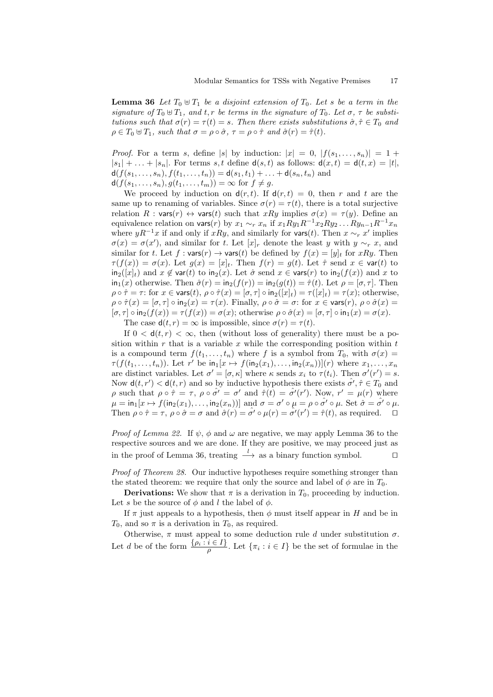**Lemma 36** Let  $T_0 \oplus T_1$  be a disjoint extension of  $T_0$ . Let s be a term in the signature of  $T_0 \oplus T_1$ , and t, r be terms in the signature of  $T_0$ . Let  $\sigma$ ,  $\tau$  be substitutions such that  $\sigma(r) = \tau(t) = s$ . Then there exists substitutions  $\hat{\sigma}, \hat{\tau} \in T_0$  and  $\rho \in T_0 \oplus T_1$ , such that  $\sigma = \rho \circ \hat{\sigma}$ ,  $\tau = \rho \circ \hat{\tau}$  and  $\hat{\sigma}(r) = \hat{\tau}(t)$ .

*Proof.* For a term s, define |s| by induction:  $|x| = 0$ ,  $|f(s_1, \ldots, s_n)| = 1 +$  $|s_1| + \ldots + |s_n|$ . For terms s, t define  $d(s, t)$  as follows:  $d(x, t) = d(t, x) = |t|$ ,  $d(f(s_1,...,s_n), f(t_1,...,t_n)) = d(s_1,t_1) + ... + d(s_n,t_n)$  and  $d(f(s_1,...,s_n), g(t_1,...,t_m)) = \infty$  for  $f \neq g$ .

We proceed by induction on  $d(r, t)$ . If  $d(r, t) = 0$ , then r and t are the same up to renaming of variables. Since  $\sigma(r) = \tau(t)$ , there is a total surjective relation  $R : \text{vars}(r) \leftrightarrow \text{vars}(t)$  such that  $xRy$  implies  $\sigma(x) = \tau(y)$ . Define an equivalence relation on vars(r) by  $x_1 \sim_r x_n$  if  $x_1 R y_1 R^{-1} x_2 R y_2 \dots R y_{n-1} R^{-1} x_n$ where  $yR^{-1}x$  if and only if xRy, and similarly for vars(t). Then  $x \sim_r x'$  implies  $\sigma(x) = \sigma(x')$ , and similar for t. Let  $[x]_r$  denote the least y with  $y \sim_r x$ , and similar for t. Let  $f : \mathsf{vars}(r) \to \mathsf{vars}(t)$  be defined by  $f(x) = [y]_t$  for  $xRy$ . Then  $\tau(f(x)) = \sigma(x)$ . Let  $g(x) = [x]_t$ . Then  $f(r) = g(t)$ . Let  $\hat{\tau}$  send  $x \in \text{var}(t)$  to  $\text{in}_2([x]_t)$  and  $x \notin \text{var}(t)$  to  $\text{in}_2(x)$ . Let  $\hat{\sigma}$  send  $x \in \text{vars}(r)$  to  $\text{in}_2(f(x))$  and x to  $\text{in}_1(x)$  otherwise. Then  $\hat{\sigma}(r) = \text{in}_2(f(r)) = \text{in}_2(g(t)) = \hat{\tau}(t)$ . Let  $\rho = [\sigma, \tau]$ . Then  $\rho \circ \hat{\tau} = \tau$ : for  $x \in \text{vars}(t)$ ,  $\rho \circ \hat{\tau}(x) = [\sigma, \tau] \circ \text{in}_2([x]_t) = \tau([x]_t) = \tau(x)$ ; otherwise,  $\rho \circ \hat{\tau}(x) = [\sigma, \tau] \circ \text{in}_2(x) = \tau(x)$ . Finally,  $\rho \circ \hat{\sigma} = \sigma$ : for  $x \in \text{vars}(r)$ ,  $\rho \circ \hat{\sigma}(x) =$  $[\sigma, \tau] \circ \text{in}_2(f(x)) = \tau(f(x)) = \sigma(x)$ ; otherwise  $\rho \circ \hat{\sigma}(x) = [\sigma, \tau] \circ \text{in}_1(x) = \sigma(x)$ .

The case  $d(t, r) = \infty$  is impossible, since  $\sigma(r) = \tau(t)$ .

If  $0 < d(t,r) < \infty$ , then (without loss of generality) there must be a position within  $r$  that is a variable  $x$  while the corresponding position within  $t$ is a compound term  $f(t_1, \ldots, t_n)$  where f is a symbol from  $T_0$ , with  $\sigma(x) =$  $\tau(f(t_1,\ldots,t_n))$ . Let r' be  $\text{in}_1[x \mapsto f(\text{in}_2(x_1),\ldots,\text{in}_2(x_n))](r)$  where  $x_1,\ldots,x_n$ are distinct variables. Let  $\sigma' = [\sigma, \kappa]$  where  $\kappa$  sends  $x_i$  to  $\tau(t_i)$ . Then  $\sigma'(r') = s$ . Now  $d(t, r') < d(t, r)$  and so by inductive hypothesis there exists  $\hat{\sigma'}, \hat{\tau} \in T_0$  and ρ such that  $ρ \circ \hat{τ} = τ$ ,  $ρ \circ \hat{σ}' = σ'$  and  $\hat{τ}(t) = \hat{σ}'(r')$ . Now,  $r' = μ(r)$  where  $\mu = \text{in}_1[x \mapsto f(\text{in}_2(x_1), \dots, \text{in}_2(x_n))]$  and  $\sigma = \sigma' \circ \mu = \rho \circ \hat{\sigma'} \circ \mu$ . Set  $\hat{\sigma} = \hat{\sigma'} \circ \mu$ . Then  $\rho \circ \hat{\tau} = \tau$ ,  $\rho \circ \hat{\sigma} = \sigma$  and  $\hat{\sigma}(r) = \hat{\sigma}' \circ \mu(r) = \hat{\sigma}'(r') = \hat{\tau}(t)$ , as required.  $\Box$ 

*Proof of Lemma 22.* If  $\psi$ ,  $\phi$  and  $\omega$  are negative, we may apply Lemma 36 to the respective sources and we are done. If they are positive, we may proceed just as in the proof of Lemma 36, treating  $\frac{l}{r}$  as a binary function symbol.  $\Box$ 

Proof of Theorem 28. Our inductive hypotheses require something stronger than the stated theorem: we require that only the source and label of  $\phi$  are in  $T_0$ .

**Derivations:** We show that  $\pi$  is a derivation in  $T_0$ , proceeding by induction. Let s be the source of  $\phi$  and l the label of  $\phi$ .

If  $\pi$  just appeals to a hypothesis, then  $\phi$  must itself appear in H and be in  $T_0$ , and so  $\pi$  is a derivation in  $T_0$ , as required.

Otherwise,  $\pi$  must appeal to some deduction rule d under substitution  $\sigma$ . Let d be of the form  $\frac{\{\rho_i : i \in I\}}{\rho}$ . Let  $\{\pi_i : i \in I\}$  be the set of formulae in the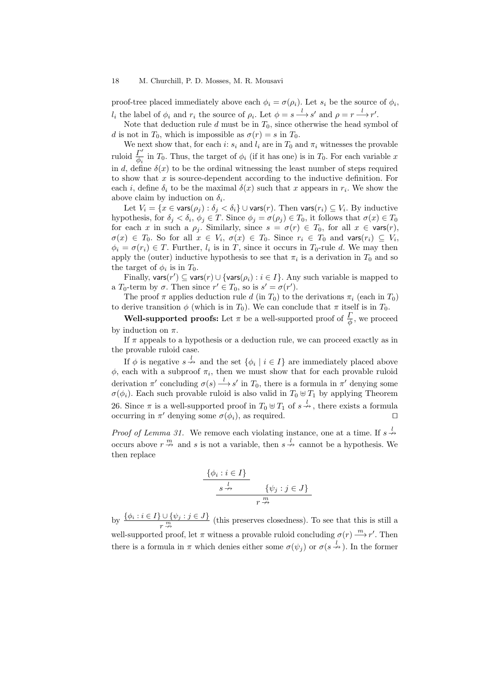## 18 M. Churchill, P. D. Mosses, M. R. Mousavi

proof-tree placed immediately above each  $\phi_i = \sigma(\rho_i)$ . Let  $s_i$  be the source of  $\phi_i$ ,  $l_i$  the label of  $\phi_i$  and  $r_i$  the source of  $\rho_i$ . Let  $\phi = s \stackrel{l}{\longrightarrow} s'$  and  $\rho = r \stackrel{l}{\longrightarrow} r'$ .

Note that deduction rule d must be in  $T_0$ , since otherwise the head symbol of d is not in  $T_0$ , which is impossible as  $\sigma(r) = s$  in  $T_0$ .

We next show that, for each i:  $s_i$  and  $l_i$  are in  $T_0$  and  $\pi_i$  witnesses the provable ruloid  $\frac{\Gamma'}{\phi_i}$  in  $T_0$ . Thus, the target of  $\phi_i$  (if it has one) is in  $T_0$ . For each variable x in d, define  $\delta(x)$  to be the ordinal witnessing the least number of steps required to show that  $x$  is source-dependent according to the inductive definition. For each i, define  $\delta_i$  to be the maximal  $\delta(x)$  such that x appears in  $r_i$ . We show the above claim by induction on  $\delta_i$ .

Let  $V_i = \{x \in \text{vars}(\rho_j) : \delta_j < \delta_i\} \cup \text{vars}(r)$ . Then  $\text{vars}(r_i) \subseteq V_i$ . By inductive hypothesis, for  $\delta_j < \delta_i$ ,  $\phi_j \in T$ . Since  $\phi_j = \sigma(\rho_j) \in T_0$ , it follows that  $\sigma(x) \in T_0$ for each x in such a  $\rho_j$ . Similarly, since  $s = \sigma(r) \in T_0$ , for all  $x \in \text{vars}(r)$ ,  $\sigma(x) \in T_0$ . So for all  $x \in V_i$ ,  $\sigma(x) \in T_0$ . Since  $r_i \in T_0$  and vars $(r_i) \subseteq V_i$ ,  $\phi_i = \sigma(r_i) \in T$ . Further,  $l_i$  is in T, since it occurs in T<sub>0</sub>-rule d. We may then apply the (outer) inductive hypothesis to see that  $\pi_i$  is a derivation in  $T_0$  and so the target of  $\phi_i$  is in  $T_0$ .

Finally,  $\text{vars}(r') \subseteq \text{vars}(r) \cup \{\text{vars}(\rho_i) : i \in I\}$ . Any such variable is mapped to a  $T_0$ -term by  $\sigma$ . Then since  $r' \in T_0$ , so is  $s' = \sigma(r')$ .

The proof  $\pi$  applies deduction rule d (in  $T_0$ ) to the derivations  $\pi_i$  (each in  $T_0$ ) to derive transition  $\phi$  (which is in  $T_0$ ). We can conclude that  $\pi$  itself is in  $T_0$ .

**Well-supported proofs:** Let  $\pi$  be a well-supported proof of  $\frac{\Gamma}{\phi}$ , we proceed by induction on  $\pi$ .

If  $\pi$  appeals to a hypothesis or a deduction rule, we can proceed exactly as in the provable ruloid case.

If  $\phi$  is negative  $s \stackrel{l}{\rightarrow}$  and the set  $\{\phi_i \mid i \in I\}$  are immediately placed above  $\phi$ , each with a subproof  $\pi_i$ , then we must show that for each provable ruloid derivation  $\pi'$  concluding  $\sigma(s) \stackrel{l}{\longrightarrow} s'$  in  $T_0$ , there is a formula in  $\pi'$  denying some  $\sigma(\phi_i)$ . Each such provable ruloid is also valid in  $T_0 \oplus T_1$  by applying Theorem 26. Since  $\pi$  is a well-supported proof in  $T_0 \oplus T_1$  of  $s \stackrel{l}{\nrightarrow}$ , there exists a formula occurring in  $\pi'$  denying some  $\sigma(\phi_i)$ , as required.  $\Box$ 

*Proof of Lemma 31.* We remove each violating instance, one at a time. If  $s \stackrel{l}{\rightarrow}$ occurs above  $r \stackrel{m}{\nightharpoonup}$  and s is not a variable, then  $s \stackrel{l}{\nightharpoonup}$  cannot be a hypothesis. We then replace

$$
\begin{array}{c}\n\{\phi_i : i \in I\} \\
\hline\ns \xrightarrow{l} \qquad \{\psi_j : j \in J\} \\
r \xrightarrow{m}\n\end{array}
$$

by  $\{\phi_i : i \in I\} \cup \{\psi_j : j \in J\}$  (this preserves closedness). To see that this is still a well-supported proof, let  $\pi$  witness a provable ruloid concluding  $\sigma(r) \stackrel{m}{\longrightarrow} r'$ . Then there is a formula in  $\pi$  which denies either some  $\sigma(\psi_j)$  or  $\sigma(s \stackrel{l}{\rightarrow})$ . In the former